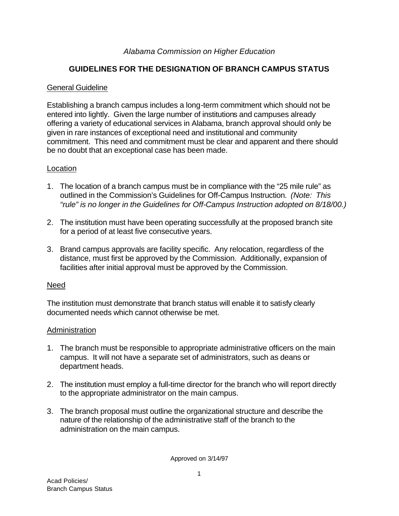### *Alabama Commission on Higher Education*

# **GUIDELINES FOR THE DESIGNATION OF BRANCH CAMPUS STATUS**

#### General Guideline

Establishing a branch campus includes a long-term commitment which should not be entered into lightly. Given the large number of institutions and campuses already offering a variety of educational services in Alabama, branch approval should only be given in rare instances of exceptional need and institutional and community commitment. This need and commitment must be clear and apparent and there should be no doubt that an exceptional case has been made.

### Location

- 1. The location of a branch campus must be in compliance with the "25 mile rule" as outlined in the Commission's Guidelines for Off-Campus Instruction. *(Note: This "rule" is no longer in the Guidelines for Off-Campus Instruction adopted on 8/18/00.)*
- 2. The institution must have been operating successfully at the proposed branch site for a period of at least five consecutive years.
- 3. Brand campus approvals are facility specific. Any relocation, regardless of the distance, must first be approved by the Commission. Additionally, expansion of facilities after initial approval must be approved by the Commission.

#### Need

The institution must demonstrate that branch status will enable it to satisfy clearly documented needs which cannot otherwise be met.

#### Administration

- 1. The branch must be responsible to appropriate administrative officers on the main campus. It will not have a separate set of administrators, such as deans or department heads.
- 2. The institution must employ a full-time director for the branch who will report directly to the appropriate administrator on the main campus.
- 3. The branch proposal must outline the organizational structure and describe the nature of the relationship of the administrative staff of the branch to the administration on the main campus.

Approved on 3/14/97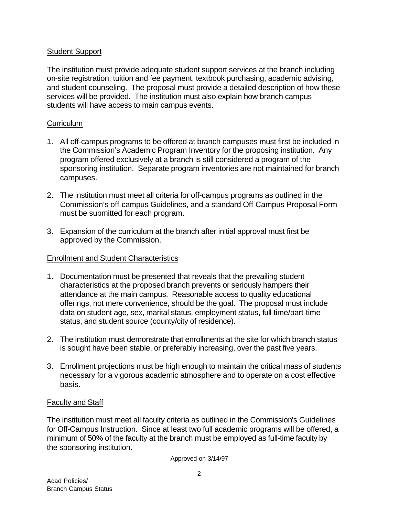### Student Support

The institution must provide adequate student support services at the branch including on-site registration, tuition and fee payment, textbook purchasing, academic advising, and student counseling. The proposal must provide a detailed description of how these services will be provided. The institution must also explain how branch campus students will have access to main campus events.

### **Curriculum**

- 1. All off-campus programs to be offered at branch campuses must first be included in the Commission's Academic Program Inventory for the proposing institution. Any program offered exclusively at a branch is still considered a program of the sponsoring institution. Separate program inventories are not maintained for branch campuses.
- 2. The institution must meet all criteria for off-campus programs as outlined in the Commission's off-campus Guidelines, and a standard Off-Campus Proposal Form must be submitted for each program.
- 3. Expansion of the curriculum at the branch after initial approval must first be approved by the Commission.

### Enrollment and Student Characteristics

- 1. Documentation must be presented that reveals that the prevailing student characteristics at the proposed branch prevents or seriously hampers their attendance at the main campus. Reasonable access to quality educational offerings, not mere convenience, should be the goal. The proposal must include data on student age, sex, marital status, employment status, full-time/part-time status, and student source (county/city of residence).
- 2. The institution must demonstrate that enrollments at the site for which branch status is sought have been stable, or preferably increasing, over the past five years.
- 3. Enrollment projections must be high enough to maintain the critical mass of students necessary for a vigorous academic atmosphere and to operate on a cost effective basis.

#### Faculty and Staff

The institution must meet all faculty criteria as outlined in the Commission's Guidelines for Off-Campus Instruction. Since at least two full academic programs will be offered, a minimum of 50% of the faculty at the branch must be employed as full-time faculty by the sponsoring institution.

Approved on 3/14/97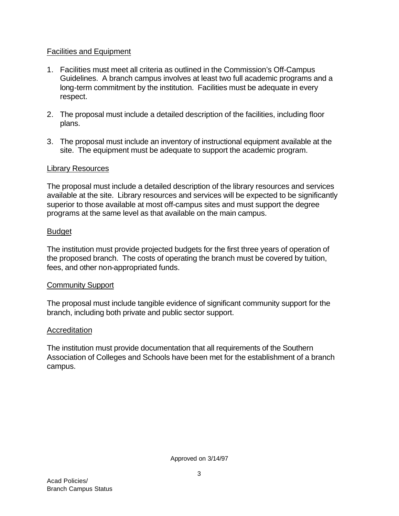### Facilities and Equipment

- 1. Facilities must meet all criteria as outlined in the Commission's Off-Campus Guidelines. A branch campus involves at least two full academic programs and a long-term commitment by the institution. Facilities must be adequate in every respect.
- 2. The proposal must include a detailed description of the facilities, including floor plans.
- 3. The proposal must include an inventory of instructional equipment available at the site. The equipment must be adequate to support the academic program.

### Library Resources

The proposal must include a detailed description of the library resources and services available at the site. Library resources and services will be expected to be significantly superior to those available at most off-campus sites and must support the degree programs at the same level as that available on the main campus.

# Budget

The institution must provide projected budgets for the first three years of operation of the proposed branch. The costs of operating the branch must be covered by tuition, fees, and other non-appropriated funds.

### Community Support

The proposal must include tangible evidence of significant community support for the branch, including both private and public sector support.

# Accreditation

The institution must provide documentation that all requirements of the Southern Association of Colleges and Schools have been met for the establishment of a branch campus.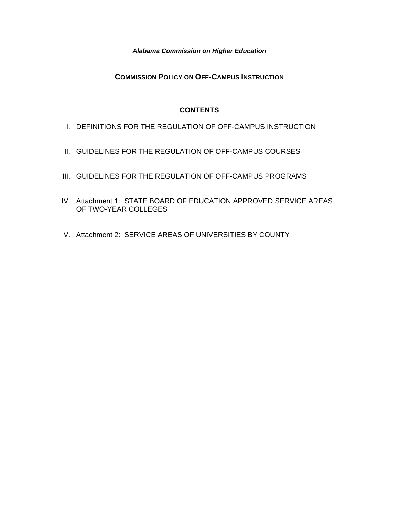*Alabama Commission on Higher Education* 

**COMMISSION POLICY ON OFF-CAMPUS INSTRUCTION**

#### **CONTENTS**

- I. DEFINITIONS FOR THE REGULATION OF OFF-CAMPUS INSTRUCTION
- II. GUIDELINES FOR THE REGULATION OF OFF-CAMPUS COURSES
- III. GUIDELINES FOR THE REGULATION OF OFF-CAMPUS PROGRAMS
- IV. Attachment 1: STATE BOARD OF EDUCATION APPROVED SERVICE AREAS OF TWO-YEAR COLLEGES
- V. Attachment 2: SERVICE AREAS OF UNIVERSITIES BY COUNTY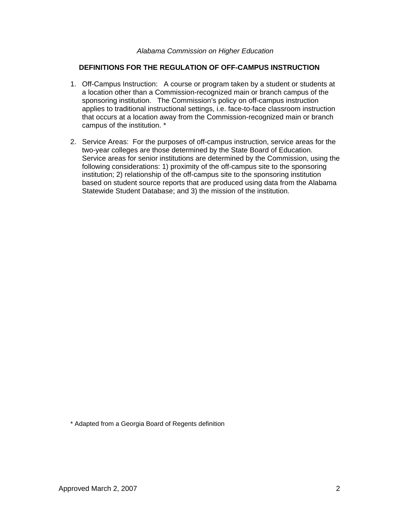#### *Alabama Commission on Higher Education*

#### **DEFINITIONS FOR THE REGULATION OF OFF-CAMPUS INSTRUCTION**

- 1. Off-Campus Instruction: A course or program taken by a student or students at a location other than a Commission-recognized main or branch campus of the sponsoring institution. The Commission's policy on off-campus instruction applies to traditional instructional settings, i.e. face-to-face classroom instruction that occurs at a location away from the Commission-recognized main or branch campus of the institution. \*
- 2. Service Areas: For the purposes of off-campus instruction, service areas for the two-year colleges are those determined by the State Board of Education. Service areas for senior institutions are determined by the Commission, using the following considerations: 1) proximity of the off-campus site to the sponsoring institution; 2) relationship of the off-campus site to the sponsoring institution based on student source reports that are produced using data from the Alabama Statewide Student Database; and 3) the mission of the institution.

\* Adapted from a Georgia Board of Regents definition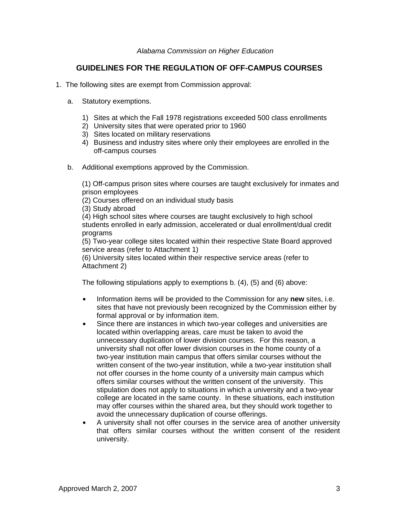### **GUIDELINES FOR THE REGULATION OF OFF-CAMPUS COURSES**

- 1. The following sites are exempt from Commission approval:
	- a. Statutory exemptions.
		- 1) Sites at which the Fall 1978 registrations exceeded 500 class enrollments
		- 2) University sites that were operated prior to 1960
		- 3) Sites located on military reservations
		- 4) Business and industry sites where only their employees are enrolled in the off-campus courses
	- b. Additional exemptions approved by the Commission.

(1) Off-campus prison sites where courses are taught exclusively for inmates and prison employees

(2) Courses offered on an individual study basis

(3) Study abroad

(4) High school sites where courses are taught exclusively to high school students enrolled in early admission, accelerated or dual enrollment/dual credit programs

(5) Two-year college sites located within their respective State Board approved service areas (refer to Attachment 1)

(6) University sites located within their respective service areas (refer to Attachment 2)

The following stipulations apply to exemptions b. (4), (5) and (6) above:

- Information items will be provided to the Commission for any **new** sites, i.e. sites that have not previously been recognized by the Commission either by formal approval or by information item.
- Since there are instances in which two-year colleges and universities are located within overlapping areas, care must be taken to avoid the unnecessary duplication of lower division courses. For this reason, a university shall not offer lower division courses in the home county of a two-year institution main campus that offers similar courses without the written consent of the two-year institution, while a two-year institution shall not offer courses in the home county of a university main campus which offers similar courses without the written consent of the university. This stipulation does not apply to situations in which a university and a two-year college are located in the same county. In these situations, each institution may offer courses within the shared area, but they should work together to avoid the unnecessary duplication of course offerings.
- A university shall not offer courses in the service area of another university that offers similar courses without the written consent of the resident university.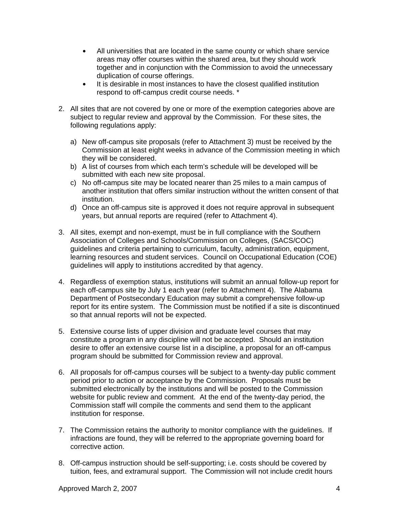- All universities that are located in the same county or which share service areas may offer courses within the shared area, but they should work together and in conjunction with the Commission to avoid the unnecessary duplication of course offerings.
- It is desirable in most instances to have the closest qualified institution respond to off-campus credit course needs. \*
- 2. All sites that are not covered by one or more of the exemption categories above are subject to regular review and approval by the Commission. For these sites, the following regulations apply:
	- a) New off-campus site proposals (refer to Attachment 3) must be received by the Commission at least eight weeks in advance of the Commission meeting in which they will be considered.
	- b) A list of courses from which each term's schedule will be developed will be submitted with each new site proposal.
	- c) No off-campus site may be located nearer than 25 miles to a main campus of another institution that offers similar instruction without the written consent of that institution.
	- d) Once an off-campus site is approved it does not require approval in subsequent years, but annual reports are required (refer to Attachment 4).
- 3. All sites, exempt and non-exempt, must be in full compliance with the Southern Association of Colleges and Schools/Commission on Colleges, (SACS/COC) guidelines and criteria pertaining to curriculum, faculty, administration, equipment, learning resources and student services. Council on Occupational Education (COE) guidelines will apply to institutions accredited by that agency.
- 4. Regardless of exemption status, institutions will submit an annual follow-up report for each off-campus site by July 1 each year (refer to Attachment 4). The Alabama Department of Postsecondary Education may submit a comprehensive follow-up report for its entire system. The Commission must be notified if a site is discontinued so that annual reports will not be expected.
- 5. Extensive course lists of upper division and graduate level courses that may constitute a program in any discipline will not be accepted. Should an institution desire to offer an extensive course list in a discipline, a proposal for an off-campus program should be submitted for Commission review and approval.
- 6. All proposals for off-campus courses will be subject to a twenty-day public comment period prior to action or acceptance by the Commission. Proposals must be submitted electronically by the institutions and will be posted to the Commission website for public review and comment. At the end of the twenty-day period, the Commission staff will compile the comments and send them to the applicant institution for response.
- 7. The Commission retains the authority to monitor compliance with the guidelines. If infractions are found, they will be referred to the appropriate governing board for corrective action.
- 8. Off-campus instruction should be self-supporting; i.e. costs should be covered by tuition, fees, and extramural support. The Commission will not include credit hours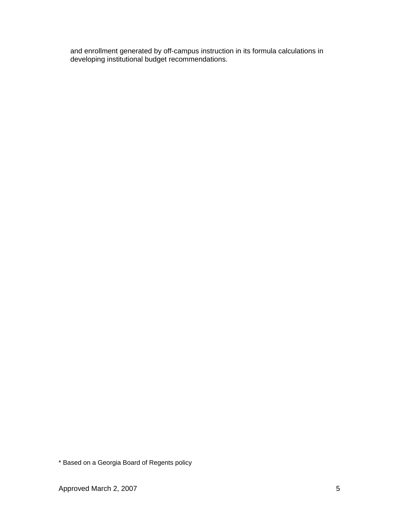and enrollment generated by off-campus instruction in its formula calculations in developing institutional budget recommendations.

\* Based on a Georgia Board of Regents policy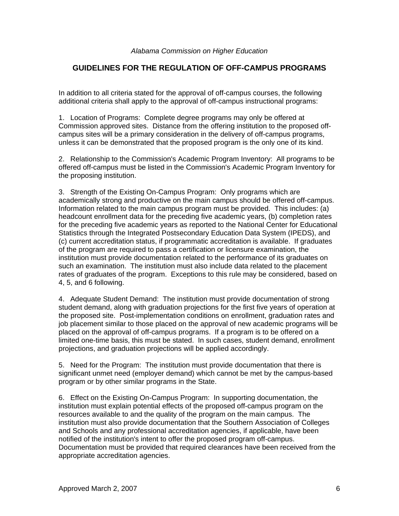### **GUIDELINES FOR THE REGULATION OF OFF-CAMPUS PROGRAMS**

In addition to all criteria stated for the approval of off-campus courses, the following additional criteria shall apply to the approval of off-campus instructional programs:

1. Location of Programs: Complete degree programs may only be offered at Commission approved sites. Distance from the offering institution to the proposed offcampus sites will be a primary consideration in the delivery of off-campus programs, unless it can be demonstrated that the proposed program is the only one of its kind.

2. Relationship to the Commission's Academic Program Inventory: All programs to be offered off-campus must be listed in the Commission's Academic Program Inventory for the proposing institution.

3. Strength of the Existing On-Campus Program: Only programs which are academically strong and productive on the main campus should be offered off-campus. Information related to the main campus program must be provided. This includes: (a) headcount enrollment data for the preceding five academic years, (b) completion rates for the preceding five academic years as reported to the National Center for Educational Statistics through the Integrated Postsecondary Education Data System (IPEDS), and (c) current accreditation status, if programmatic accreditation is available. If graduates of the program are required to pass a certification or licensure examination, the institution must provide documentation related to the performance of its graduates on such an examination. The institution must also include data related to the placement rates of graduates of the program. Exceptions to this rule may be considered, based on 4, 5, and 6 following.

4. Adequate Student Demand: The institution must provide documentation of strong student demand, along with graduation projections for the first five years of operation at the proposed site. Post-implementation conditions on enrollment, graduation rates and job placement similar to those placed on the approval of new academic programs will be placed on the approval of off-campus programs. If a program is to be offered on a limited one-time basis, this must be stated. In such cases, student demand, enrollment projections, and graduation projections will be applied accordingly.

5. Need for the Program: The institution must provide documentation that there is significant unmet need (employer demand) which cannot be met by the campus-based program or by other similar programs in the State.

6. Effect on the Existing On-Campus Program: In supporting documentation, the institution must explain potential effects of the proposed off-campus program on the resources available to and the quality of the program on the main campus. The institution must also provide documentation that the Southern Association of Colleges and Schools and any professional accreditation agencies, if applicable, have been notified of the institution's intent to offer the proposed program off-campus. Documentation must be provided that required clearances have been received from the appropriate accreditation agencies.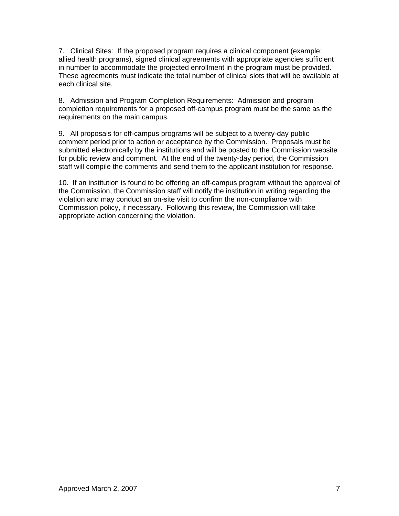7. Clinical Sites: If the proposed program requires a clinical component (example: allied health programs), signed clinical agreements with appropriate agencies sufficient in number to accommodate the projected enrollment in the program must be provided. These agreements must indicate the total number of clinical slots that will be available at each clinical site.

8. Admission and Program Completion Requirements: Admission and program completion requirements for a proposed off-campus program must be the same as the requirements on the main campus.

9. All proposals for off-campus programs will be subject to a twenty-day public comment period prior to action or acceptance by the Commission. Proposals must be submitted electronically by the institutions and will be posted to the Commission website for public review and comment. At the end of the twenty-day period, the Commission staff will compile the comments and send them to the applicant institution for response.

10. If an institution is found to be offering an off-campus program without the approval of the Commission, the Commission staff will notify the institution in writing regarding the violation and may conduct an on-site visit to confirm the non-compliance with Commission policy, if necessary. Following this review, the Commission will take appropriate action concerning the violation.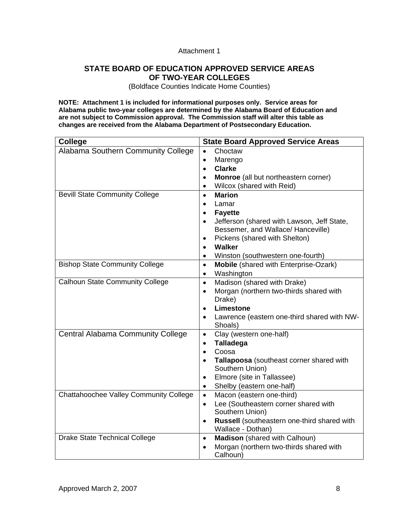#### Attachment 1

### **STATE BOARD OF EDUCATION APPROVED SERVICE AREAS OF TWO-YEAR COLLEGES**

(Boldface Counties Indicate Home Counties)

**NOTE: Attachment 1 is included for informational purposes only. Service areas for Alabama public two-year colleges are determined by the Alabama Board of Education and are not subject to Commission approval. The Commission staff will alter this table as changes are received from the Alabama Department of Postsecondary Education.** 

| <b>College</b>                           | <b>State Board Approved Service Areas</b>                                                     |  |
|------------------------------------------|-----------------------------------------------------------------------------------------------|--|
| Alabama Southern Community College       | Choctaw<br>$\bullet$                                                                          |  |
|                                          | Marengo<br>$\bullet$                                                                          |  |
|                                          | <b>Clarke</b><br>$\bullet$                                                                    |  |
|                                          | Monroe (all but northeastern corner)<br>$\bullet$                                             |  |
|                                          | Wilcox (shared with Reid)<br>$\bullet$                                                        |  |
| <b>Bevill State Community College</b>    | <b>Marion</b><br>$\bullet$                                                                    |  |
|                                          | Lamar<br>$\bullet$                                                                            |  |
|                                          | <b>Fayette</b><br>$\bullet$                                                                   |  |
|                                          | Jefferson (shared with Lawson, Jeff State,<br>$\bullet$<br>Bessemer, and Wallace/ Hanceville) |  |
|                                          | Pickens (shared with Shelton)<br>$\bullet$                                                    |  |
|                                          | <b>Walker</b><br>$\bullet$                                                                    |  |
|                                          | Winston (southwestern one-fourth)<br>$\bullet$                                                |  |
| <b>Bishop State Community College</b>    | Mobile (shared with Enterprise-Ozark)<br>$\bullet$                                            |  |
|                                          | Washington<br>$\bullet$                                                                       |  |
| <b>Calhoun State Community College</b>   | Madison (shared with Drake)<br>$\bullet$                                                      |  |
|                                          | Morgan (northern two-thirds shared with<br>$\bullet$                                          |  |
|                                          | Drake)                                                                                        |  |
|                                          | Limestone<br>$\bullet$                                                                        |  |
|                                          | Lawrence (eastern one-third shared with NW-<br>$\bullet$                                      |  |
|                                          | Shoals)                                                                                       |  |
| <b>Central Alabama Community College</b> | Clay (western one-half)<br>$\bullet$                                                          |  |
|                                          | <b>Talladega</b><br>$\bullet$                                                                 |  |
|                                          | Coosa<br>$\bullet$                                                                            |  |
|                                          | Tallapoosa (southeast corner shared with<br>$\bullet$                                         |  |
|                                          | Southern Union)<br>Elmore (site in Tallassee)<br>$\bullet$                                    |  |
|                                          | Shelby (eastern one-half)<br>$\bullet$                                                        |  |
| Chattahoochee Valley Community College   | Macon (eastern one-third)<br>$\bullet$                                                        |  |
|                                          | Lee (Southeastern corner shared with<br>$\bullet$                                             |  |
|                                          | Southern Union)                                                                               |  |
|                                          | Russell (southeastern one-third shared with<br>$\bullet$                                      |  |
|                                          | Wallace - Dothan)                                                                             |  |
| <b>Drake State Technical College</b>     | Madison (shared with Calhoun)<br>$\bullet$                                                    |  |
|                                          | Morgan (northern two-thirds shared with<br>$\bullet$                                          |  |
|                                          | Calhoun)                                                                                      |  |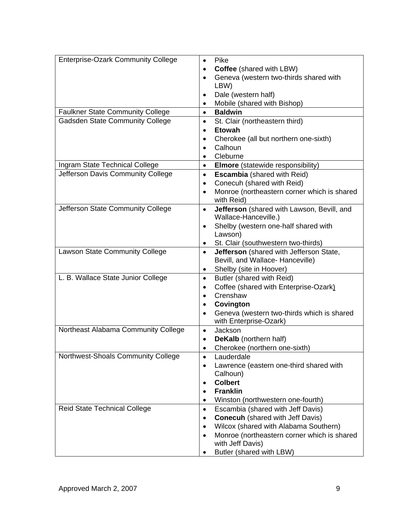| <b>Enterprise-Ozark Community College</b> | Pike<br>$\bullet$                                                            |
|-------------------------------------------|------------------------------------------------------------------------------|
|                                           | Coffee (shared with LBW)<br>$\bullet$                                        |
|                                           | Geneva (western two-thirds shared with<br>$\bullet$                          |
|                                           | LBW)                                                                         |
|                                           | Dale (western half)<br>$\bullet$                                             |
|                                           | Mobile (shared with Bishop)<br>$\bullet$                                     |
| <b>Faulkner State Community College</b>   | <b>Baldwin</b><br>$\bullet$                                                  |
| <b>Gadsden State Community College</b>    | St. Clair (northeastern third)<br>$\bullet$                                  |
|                                           | <b>Etowah</b><br>$\bullet$                                                   |
|                                           | Cherokee (all but northern one-sixth)<br>٠                                   |
|                                           | Calhoun<br>$\bullet$                                                         |
|                                           | Cleburne                                                                     |
| Ingram State Technical College            | <b>Elmore</b> (statewide responsibility)<br>$\bullet$                        |
| Jefferson Davis Community College         | <b>Escambia</b> (shared with Reid)<br>$\bullet$                              |
|                                           | Conecuh (shared with Reid)<br>$\bullet$                                      |
|                                           | Monroe (northeastern corner which is shared<br>$\bullet$                     |
|                                           | with Reid)                                                                   |
| Jefferson State Community College         | Jefferson (shared with Lawson, Bevill, and<br>$\bullet$                      |
|                                           | Wallace-Hanceville.)                                                         |
|                                           | Shelby (western one-half shared with<br>$\bullet$                            |
|                                           | Lawson)                                                                      |
|                                           | St. Clair (southwestern two-thirds)<br>$\bullet$                             |
| <b>Lawson State Community College</b>     | Jefferson (shared with Jefferson State,<br>$\bullet$                         |
|                                           | Bevill, and Wallace- Hanceville)                                             |
| L. B. Wallace State Junior College        | Shelby (site in Hoover)<br>٠<br>Butler (shared with Reid)<br>$\bullet$       |
|                                           | Coffee (shared with Enterprise-Ozark)<br>$\bullet$                           |
|                                           | Crenshaw<br>$\bullet$                                                        |
|                                           | Covington<br>$\bullet$                                                       |
|                                           | Geneva (western two-thirds which is shared<br>٠                              |
|                                           | with Enterprise-Ozark)                                                       |
| Northeast Alabama Community College       | Jackson<br>$\bullet$                                                         |
|                                           | <b>DeKalb</b> (northern half)                                                |
|                                           | Cherokee (northern one-sixth)<br>٠                                           |
| Northwest-Shoals Community College        | Lauderdale<br>$\bullet$                                                      |
|                                           | Lawrence (eastern one-third shared with<br>٠                                 |
|                                           | Calhoun)                                                                     |
|                                           | <b>Colbert</b>                                                               |
|                                           | <b>Franklin</b><br>$\bullet$                                                 |
|                                           | Winston (northwestern one-fourth)<br>$\bullet$                               |
| <b>Reid State Technical College</b>       | Escambia (shared with Jeff Davis)<br>$\bullet$                               |
|                                           | <b>Conecuh</b> (shared with Jeff Davis)<br>$\bullet$                         |
|                                           | Wilcox (shared with Alabama Southern)<br>$\bullet$                           |
|                                           | Monroe (northeastern corner which is shared<br>$\bullet$<br>with Jeff Davis) |
|                                           | Butler (shared with LBW)                                                     |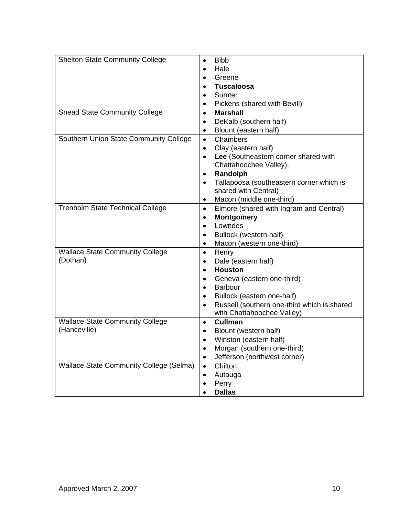| <b>Shelton State Community College</b>         | <b>Bibb</b><br>$\bullet$                                 |
|------------------------------------------------|----------------------------------------------------------|
|                                                | Hale<br>$\bullet$                                        |
|                                                | Greene<br>$\bullet$                                      |
|                                                | <b>Tuscaloosa</b><br>$\bullet$                           |
|                                                | Sumter<br>$\bullet$                                      |
|                                                | Pickens (shared with Bevill)<br>$\bullet$                |
| <b>Snead State Community College</b>           | <b>Marshall</b><br>$\bullet$                             |
|                                                | DeKalb (southern half)<br>٠                              |
|                                                | Blount (eastern half)<br>$\bullet$                       |
| Southern Union State Community College         | Chambers<br>$\bullet$                                    |
|                                                | Clay (eastern half)<br>$\bullet$                         |
|                                                | Lee (Southeastern corner shared with<br>$\bullet$        |
|                                                | Chattahoochee Valley).                                   |
|                                                | Randolph<br>$\bullet$                                    |
|                                                | Tallapoosa (southeastern corner which is<br>$\bullet$    |
|                                                | shared with Central)                                     |
|                                                | Macon (middle one-third)<br>٠                            |
| <b>Trenholm State Technical College</b>        | Elmore (shared with Ingram and Central)<br>$\bullet$     |
|                                                | <b>Montgomery</b><br>٠                                   |
|                                                | Lowndes<br>$\bullet$                                     |
|                                                | Bullock (western half)<br>٠                              |
|                                                | Macon (western one-third)<br>$\bullet$                   |
| <b>Wallace State Community College</b>         | Henry<br>$\bullet$                                       |
| (Dothan)                                       | Dale (eastern half)<br>٠                                 |
|                                                | <b>Houston</b><br>$\bullet$                              |
|                                                | Geneva (eastern one-third)<br>$\bullet$                  |
|                                                | <b>Barbour</b><br>$\bullet$                              |
|                                                | Bullock (eastern one-half)<br>٠                          |
|                                                | Russell (southern one-third which is shared<br>$\bullet$ |
| <b>Wallace State Community College</b>         | with Chattahoochee Valley)<br>Cullman<br>$\bullet$       |
| (Hanceville)                                   | Blount (western half)<br>٠                               |
|                                                | Winston (eastern half)<br>$\bullet$                      |
|                                                | Morgan (southern one-third)                              |
|                                                | Jefferson (northwest corner)<br>$\bullet$                |
| <b>Wallace State Community College (Selma)</b> | Chilton<br>$\bullet$                                     |
|                                                | Autauga<br>$\bullet$                                     |
|                                                | Perry<br>$\bullet$                                       |
|                                                | <b>Dallas</b>                                            |
|                                                |                                                          |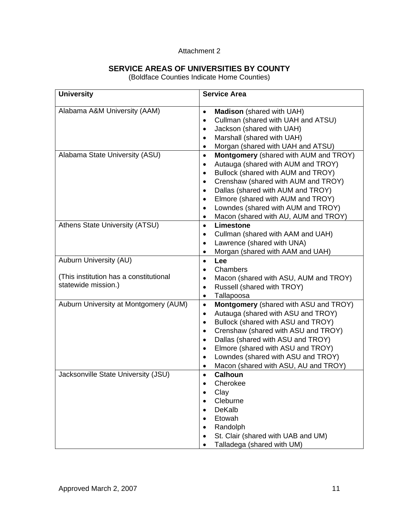#### Attachment 2

### **SERVICE AREAS OF UNIVERSITIES BY COUNTY**

(Boldface Counties Indicate Home Counties)

| <b>University</b>                      | <b>Service Area</b>                                                                              |
|----------------------------------------|--------------------------------------------------------------------------------------------------|
| Alabama A&M University (AAM)           | <b>Madison</b> (shared with UAH)<br>$\bullet$<br>Cullman (shared with UAH and ATSU)<br>$\bullet$ |
|                                        | Jackson (shared with UAH)<br>$\bullet$                                                           |
|                                        | Marshall (shared with UAH)<br>$\bullet$                                                          |
|                                        | Morgan (shared with UAH and ATSU)<br>٠                                                           |
| Alabama State University (ASU)         | <b>Montgomery</b> (shared with AUM and TROY)<br>$\bullet$                                        |
|                                        | Autauga (shared with AUM and TROY)<br>$\bullet$                                                  |
|                                        | Bullock (shared with AUM and TROY)<br>$\bullet$                                                  |
|                                        | Crenshaw (shared with AUM and TROY)<br>$\bullet$                                                 |
|                                        | Dallas (shared with AUM and TROY)<br>$\bullet$                                                   |
|                                        | Elmore (shared with AUM and TROY)<br>$\bullet$                                                   |
|                                        | Lowndes (shared with AUM and TROY)<br>$\bullet$                                                  |
|                                        | Macon (shared with AU, AUM and TROY)<br>$\bullet$                                                |
| Athens State University (ATSU)         | Limestone<br>$\bullet$                                                                           |
|                                        | Cullman (shared with AAM and UAH)<br>٠                                                           |
|                                        | Lawrence (shared with UNA)<br>$\bullet$                                                          |
| Auburn University (AU)                 | Morgan (shared with AAM and UAH)<br>٠                                                            |
|                                        | Lee<br>$\bullet$<br>Chambers                                                                     |
| (This institution has a constitutional | $\bullet$                                                                                        |
| statewide mission.)                    | Macon (shared with ASU, AUM and TROY)<br>$\bullet$<br>Russell (shared with TROY)<br>$\bullet$    |
|                                        | Tallapoosa<br>٠                                                                                  |
| Auburn University at Montgomery (AUM)  | Montgomery (shared with ASU and TROY)<br>$\bullet$                                               |
|                                        | Autauga (shared with ASU and TROY)<br>$\bullet$                                                  |
|                                        | Bullock (shared with ASU and TROY)<br>$\bullet$                                                  |
|                                        | Crenshaw (shared with ASU and TROY)<br>$\bullet$                                                 |
|                                        | Dallas (shared with ASU and TROY)<br>$\bullet$                                                   |
|                                        | Elmore (shared with ASU and TROY)<br>$\bullet$                                                   |
|                                        | Lowndes (shared with ASU and TROY)<br>$\bullet$                                                  |
|                                        | Macon (shared with ASU, AU and TROY)<br>٠                                                        |
| Jacksonville State University (JSU)    | <b>Calhoun</b><br>$\bullet$                                                                      |
|                                        | Cherokee                                                                                         |
|                                        | Clay                                                                                             |
|                                        | Cleburne                                                                                         |
|                                        | <b>DeKalb</b>                                                                                    |
|                                        | Etowah<br>$\bullet$                                                                              |
|                                        | Randolph<br>$\bullet$                                                                            |
|                                        | St. Clair (shared with UAB and UM)<br>٠                                                          |
|                                        | Talladega (shared with UM)                                                                       |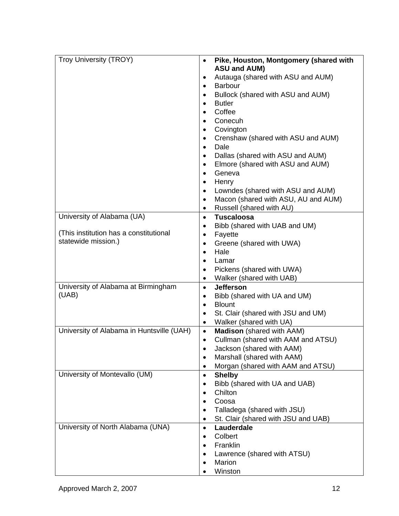| <b>Troy University (TROY)</b>             | Pike, Houston, Montgomery (shared with<br>$\bullet$            |
|-------------------------------------------|----------------------------------------------------------------|
|                                           | <b>ASU and AUM)</b>                                            |
|                                           | Autauga (shared with ASU and AUM)<br>٠                         |
|                                           | <b>Barbour</b><br>$\bullet$                                    |
|                                           | Bullock (shared with ASU and AUM)<br>$\bullet$                 |
|                                           | <b>Butler</b><br>$\bullet$                                     |
|                                           | Coffee<br>$\bullet$                                            |
|                                           | Conecuh<br>$\bullet$                                           |
|                                           | Covington<br>$\bullet$                                         |
|                                           | Crenshaw (shared with ASU and AUM)<br>$\bullet$                |
|                                           | Dale<br>$\bullet$                                              |
|                                           | Dallas (shared with ASU and AUM)<br>$\bullet$                  |
|                                           | Elmore (shared with ASU and AUM)<br>$\bullet$                  |
|                                           | Geneva<br>$\bullet$                                            |
|                                           | Henry<br>$\bullet$                                             |
|                                           | Lowndes (shared with ASU and AUM)<br>٠                         |
|                                           | Macon (shared with ASU, AU and AUM)<br>$\bullet$               |
|                                           | Russell (shared with AU)<br>$\bullet$                          |
| University of Alabama (UA)                | <b>Tuscaloosa</b><br>$\bullet$                                 |
|                                           | Bibb (shared with UAB and UM)<br>٠                             |
| (This institution has a constitutional    | Fayette<br>$\bullet$                                           |
| statewide mission.)                       | Greene (shared with UWA)<br>$\bullet$                          |
|                                           | Hale<br>$\bullet$                                              |
|                                           | Lamar<br>$\bullet$                                             |
|                                           | Pickens (shared with UWA)<br>$\bullet$                         |
|                                           | Walker (shared with UAB)<br>$\bullet$                          |
| University of Alabama at Birmingham       | <b>Jefferson</b><br>$\bullet$                                  |
| (UAB)                                     | Bibb (shared with UA and UM)<br>$\bullet$                      |
|                                           | <b>Blount</b><br>$\bullet$                                     |
|                                           | St. Clair (shared with JSU and UM)<br>$\bullet$                |
|                                           | Walker (shared with UA)<br>$\bullet$                           |
| University of Alabama in Huntsville (UAH) | <b>Madison</b> (shared with AAM)<br>$\bullet$                  |
|                                           | Cullman (shared with AAM and ATSU)<br>$\bullet$                |
|                                           | Jackson (shared with AAM)                                      |
|                                           | Marshall (shared with AAM)                                     |
|                                           | Morgan (shared with AAM and ATSU)                              |
| University of Montevallo (UM)             | <b>Shelby</b><br>٠                                             |
|                                           | Bibb (shared with UA and UAB)<br>$\bullet$                     |
|                                           | Chilton                                                        |
|                                           | Coosa                                                          |
|                                           | Talladega (shared with JSU)                                    |
| University of North Alabama (UNA)         | St. Clair (shared with JSU and UAB)<br>$\bullet$<br>Lauderdale |
|                                           | $\bullet$<br>Colbert                                           |
|                                           | Franklin                                                       |
|                                           | Lawrence (shared with ATSU)                                    |
|                                           | Marion                                                         |
|                                           | Winston                                                        |
|                                           |                                                                |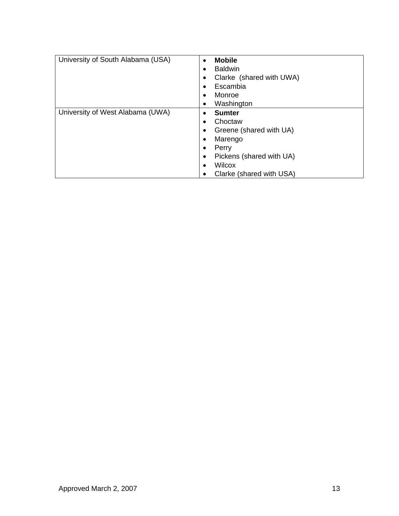| University of South Alabama (USA) | <b>Mobile</b><br>$\bullet$<br><b>Baldwin</b><br>$\bullet$<br>Clarke (shared with UWA)<br>$\bullet$<br>Escambia<br>$\bullet$<br>Monroe<br>$\bullet$<br>Washington<br>$\bullet$                                             |
|-----------------------------------|---------------------------------------------------------------------------------------------------------------------------------------------------------------------------------------------------------------------------|
| University of West Alabama (UWA)  | <b>Sumter</b><br>٠<br>Choctaw<br>$\bullet$<br>Greene (shared with UA)<br>$\bullet$<br>Marengo<br>$\bullet$<br>Perry<br>٠<br>Pickens (shared with UA)<br>$\bullet$<br>Wilcox<br>$\bullet$<br>Clarke (shared with USA)<br>٠ |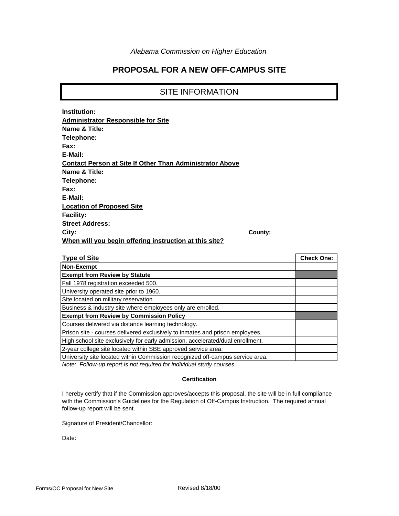### **PROPOSAL FOR A NEW OFF-CAMPUS SITE**

#### SITE INFORMATION

| Institution:                                                    |         |
|-----------------------------------------------------------------|---------|
| <b>Administrator Responsible for Site</b>                       |         |
| Name & Title:                                                   |         |
| Telephone:                                                      |         |
| Fax:                                                            |         |
| E-Mail:                                                         |         |
| <b>Contact Person at Site If Other Than Administrator Above</b> |         |
| Name & Title:                                                   |         |
| Telephone:                                                      |         |
| Fax:                                                            |         |
| E-Mail:                                                         |         |
| <b>Location of Proposed Site</b>                                |         |
| <b>Facility:</b>                                                |         |
| <b>Street Address:</b>                                          |         |
| City:                                                           | County: |
| When will you begin offering instruction at this site?          |         |
|                                                                 |         |
|                                                                 |         |

| <b>Type of Site</b>                                                            | <b>Check One:</b> |
|--------------------------------------------------------------------------------|-------------------|
| Non-Exempt                                                                     |                   |
| <b>Exempt from Review by Statute</b>                                           |                   |
| Fall 1978 registration exceeded 500.                                           |                   |
| University operated site prior to 1960.                                        |                   |
| Site located on military reservation.                                          |                   |
| Business & industry site where employees only are enrolled.                    |                   |
| <b>Exempt from Review by Commission Policy</b>                                 |                   |
| Courses delivered via distance learning technology.                            |                   |
| Prison site - courses delivered exclusively to inmates and prison employees.   |                   |
| High school site exclusively for early admission, accelerated/dual enrollment. |                   |
| 2-year college site located within SBE approved service area.                  |                   |
| University site located within Commission recognized off-campus service area.  |                   |

*Note: Follow-up report is not required for individual study courses.*

#### **Certification**

I hereby certify that if the Commission approves/accepts this proposal, the site will be in full compliance with the Commission's Guidelines for the Regulation of Off-Campus Instruction. The required annual follow-up report will be sent.

Signature of President/Chancellor:

Date: